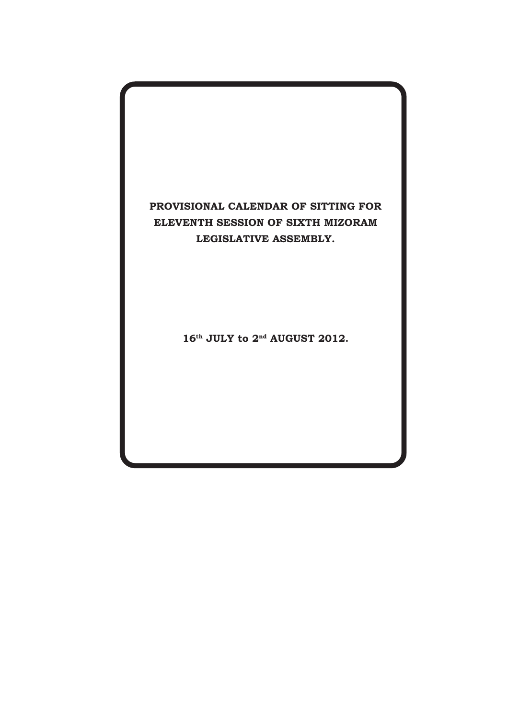## PROVISIONAL CALENDAR OF SITTING FOR ELEVENTH SESSION OF SIXTH MIZORAM LEGISLATIVE ASSEMBLY.

16th JULY to 2<sup>nd</sup> AUGUST 2012.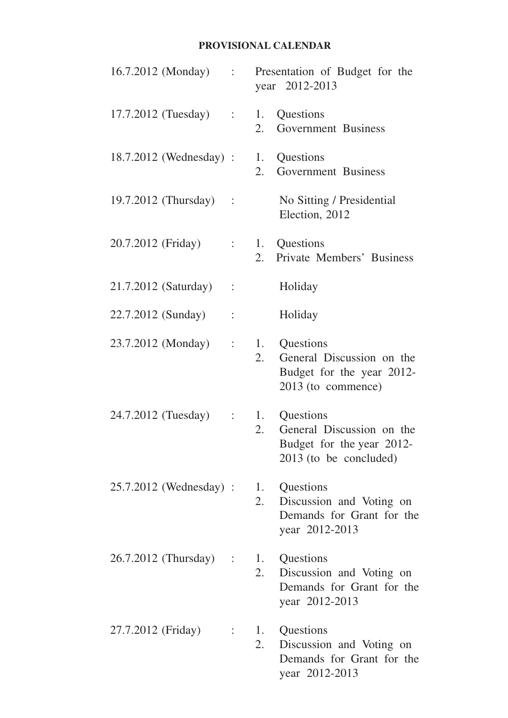## **PROVISIONAL CALENDAR**

| 16.7.2012 (Monday) :    |                           |          | Presentation of Budget for the<br>year 2012-2013                                              |
|-------------------------|---------------------------|----------|-----------------------------------------------------------------------------------------------|
| $17.7.2012$ (Tuesday) : |                           | 2.       | 1. Questions<br>Government Business                                                           |
| 18.7.2012 (Wednesday) : |                           | 2.       | 1. Questions<br>Government Business                                                           |
| 19.7.2012 (Thursday) :  |                           |          | No Sitting / Presidential<br>Election, 2012                                                   |
| 20.7.2012 (Friday)      | $\mathbb{R}^{\mathbb{Z}}$ | 2.       | 1. Questions<br>Private Members' Business                                                     |
| 21.7.2012 (Saturday)    | $\sim$ 1                  |          | Holiday                                                                                       |
| 22.7.2012 (Sunday)      | $\ddot{\cdot}$            |          | Holiday                                                                                       |
| 23.7.2012 (Monday)      | $\mathbb{R}^n$            | 1.<br>2. | Questions<br>General Discussion on the<br>Budget for the year 2012-<br>2013 (to commence)     |
| 24.7.2012 (Tuesday)     | $\mathbb{R}^{\mathbb{Z}}$ | 1.<br>2. | Questions<br>General Discussion on the<br>Budget for the year 2012-<br>2013 (to be concluded) |
| 25.7.2012 (Wednesday) : |                           | 2.       | 1. Questions<br>Discussion and Voting on<br>Demands for Grant for the<br>year 2012-2013       |
| 26.7.2012 (Thursday) :  |                           | 2.       | 1. Questions<br>Discussion and Voting on<br>Demands for Grant for the<br>year 2012-2013       |
| 27.7.2012 (Friday)      |                           | 2.       | 1. Questions<br>Discussion and Voting on<br>Demands for Grant for the<br>year 2012-2013       |